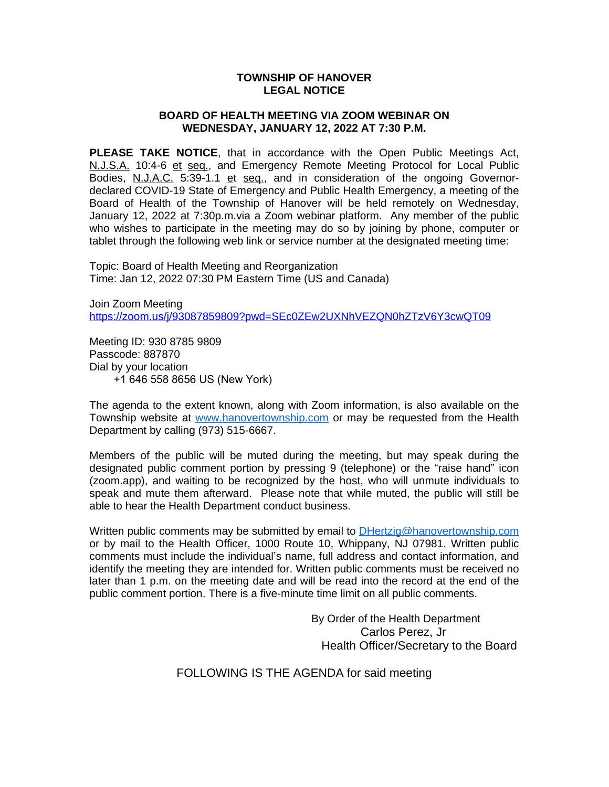### **TOWNSHIP OF HANOVER LEGAL NOTICE**

#### **BOARD OF HEALTH MEETING VIA ZOOM WEBINAR ON WEDNESDAY, JANUARY 12, 2022 AT 7:30 P.M.**

**PLEASE TAKE NOTICE**, that in accordance with the Open Public Meetings Act, N.J.S.A. 10:4-6 et seq., and Emergency Remote Meeting Protocol for Local Public Bodies, N.J.A.C. 5:39-1.1 et seq., and in consideration of the ongoing Governordeclared COVID-19 State of Emergency and Public Health Emergency, a meeting of the Board of Health of the Township of Hanover will be held remotely on Wednesday, January 12, 2022 at 7:30p.m.via a Zoom webinar platform. Any member of the public who wishes to participate in the meeting may do so by joining by phone, computer or tablet through the following web link or service number at the designated meeting time:

Topic: Board of Health Meeting and Reorganization Time: Jan 12, 2022 07:30 PM Eastern Time (US and Canada)

Join Zoom Meeting <https://zoom.us/j/93087859809?pwd=SEc0ZEw2UXNhVEZQN0hZTzV6Y3cwQT09>

Meeting ID: 930 8785 9809 Passcode: 887870 Dial by your location +1 646 558 8656 US (New York)

The agenda to the extent known, along with Zoom information, is also available on the Township website at [www.hanovertownship.com](http://www.hanovertownship.com) or may be requested from the Health Department by calling (973) 515-6667.

Members of the public will be muted during the meeting, but may speak during the designated public comment portion by pressing 9 (telephone) or the "raise hand" icon (zoom.app), and waiting to be recognized by the host, who will unmute individuals to speak and mute them afterward. Please note that while muted, the public will still be able to hear the Health Department conduct business.

Written public comments may be submitted by email to [DHertzig@hanovertownship.com](mailto:DHertzig@hanovertownship.com) or by mail to the Health Officer, 1000 Route 10, Whippany, NJ 07981. Written public comments must include the individual's name, full address and contact information, and identify the meeting they are intended for. Written public comments must be received no later than 1 p.m. on the meeting date and will be read into the record at the end of the public comment portion. There is a five-minute time limit on all public comments.

> By Order of the Health Department Carlos Perez, Jr Health Officer/Secretary to the Board

FOLLOWING IS THE AGENDA for said meeting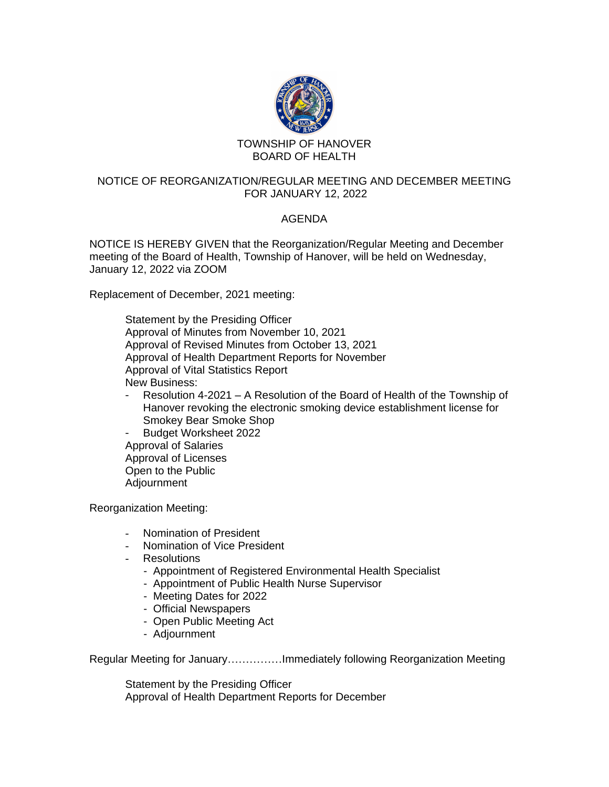

# BOARD OF HEALTH

## NOTICE OF REORGANIZATION/REGULAR MEETING AND DECEMBER MEETING FOR JANUARY 12, 2022

# AGENDA

NOTICE IS HEREBY GIVEN that the Reorganization/Regular Meeting and December meeting of the Board of Health, Township of Hanover, will be held on Wednesday, January 12, 2022 via ZOOM

Replacement of December, 2021 meeting:

Statement by the Presiding Officer Approval of Minutes from November 10, 2021 Approval of Revised Minutes from October 13, 2021 Approval of Health Department Reports for November Approval of Vital Statistics Report New Business:

- Resolution 4-2021 A Resolution of the Board of Health of the Township of Hanover revoking the electronic smoking device establishment license for Smokey Bear Smoke Shop
- Budget Worksheet 2022 Approval of Salaries Approval of Licenses Open to the Public Adjournment

Reorganization Meeting:

- Nomination of President
- Nomination of Vice President
- Resolutions
	- Appointment of Registered Environmental Health Specialist
	- Appointment of Public Health Nurse Supervisor
	- Meeting Dates for 2022
	- Official Newspapers
	- Open Public Meeting Act
	- Adjournment

Regular Meeting for January……………Immediately following Reorganization Meeting

Statement by the Presiding Officer Approval of Health Department Reports for December